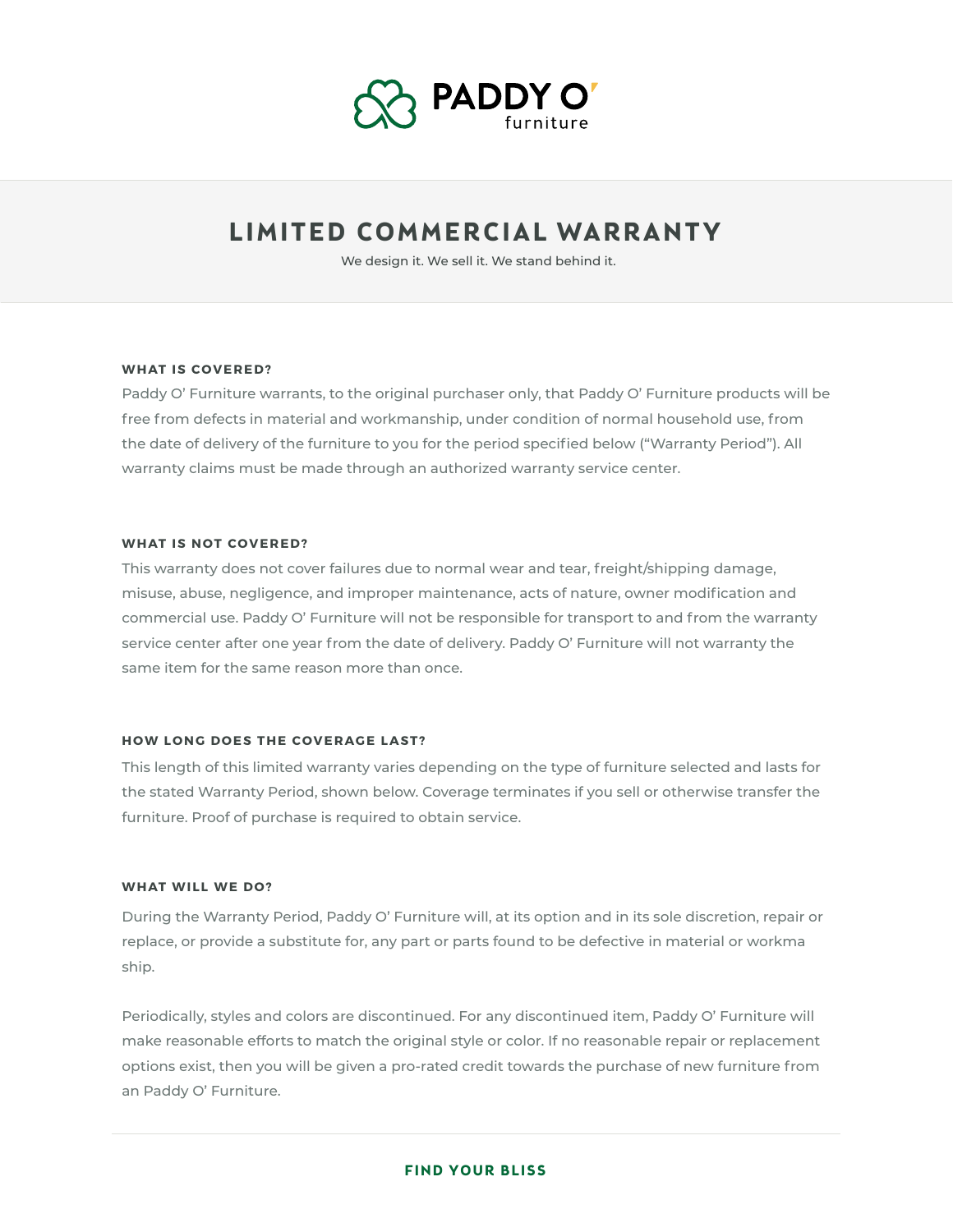

# **LIMITED COMMERCIAL WARRANTY**

We design it. We sell it. We stand behind it.

#### **WHAT IS COVERED?**

Paddy O' Furniture warrants, to the original purchaser only, that Paddy O' Furniture products will be free from defects in material and workmanship, under condition of normal household use, from the date of delivery of the furniture to you for the period specified below ("Warranty Period"). All warranty claims must be made through an authorized warranty service center.

#### **WHAT IS NOT COVERED?**

This warranty does not cover failures due to normal wear and tear, freight/shipping damage, misuse, abuse, negligence, and improper maintenance, acts of nature, owner modification and commercial use. Paddy O' Furniture will not be responsible for transport to and from the warranty service center after one year from the date of delivery. Paddy O' Furniture will not warranty the same item for the same reason more than once.

## **HOW LONG DOES THE COVERAGE LAST?**

This length of this limited warranty varies depending on the type of furniture selected and lasts for the stated Warranty Period, shown below. Coverage terminates if you sell or otherwise transfer the furniture. Proof of purchase is required to obtain service.

#### **WHAT WILL WE DO?**

During the Warranty Period, Paddy O' Furniture will, at its option and in its sole discretion, repair or replace, or provide a substitute for, any part or parts found to be defective in material or workma ship.

Periodically, styles and colors are discontinued. For any discontinued item, Paddy O' Furniture will make reasonable efforts to match the original style or color. If no reasonable repair or replacement options exist, then you will be given a pro-rated credit towards the purchase of new furniture from an Paddy O' Furniture.

#### **FIND YOUR BLISS**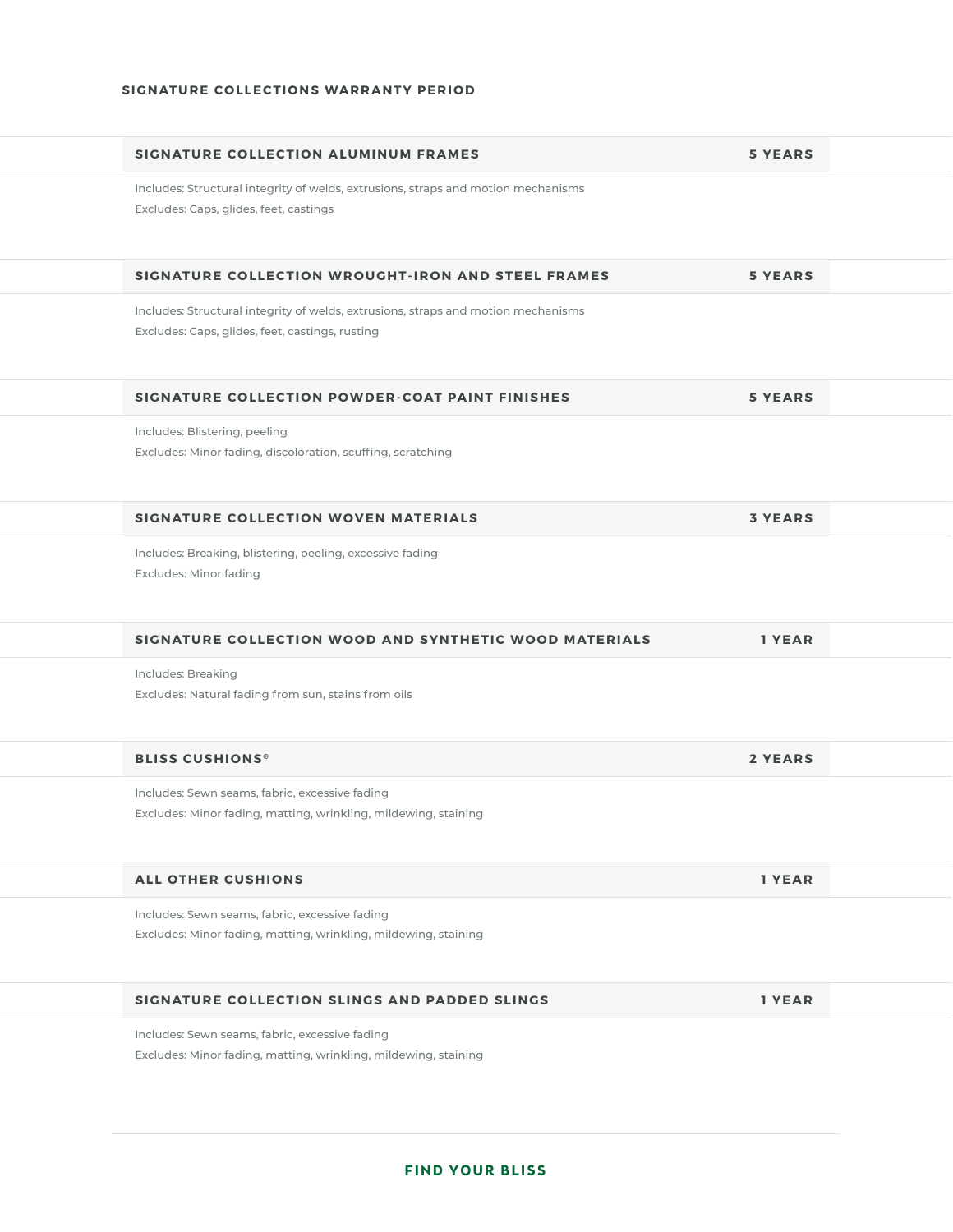#### **SIGNATURE COLLECTIONS WARRANTY PERIOD**

| SIGNATURE COLLECTION ALUMINUM FRAMES                                                                                                 | <b>5 YEARS</b> |  |
|--------------------------------------------------------------------------------------------------------------------------------------|----------------|--|
| Includes: Structural integrity of welds, extrusions, straps and motion mechanisms<br>Excludes: Caps, glides, feet, castings          |                |  |
| SIGNATURE COLLECTION WROUGHT-IRON AND STEEL FRAMES                                                                                   | <b>5 YEARS</b> |  |
| Includes: Structural integrity of welds, extrusions, straps and motion mechanisms<br>Excludes: Caps, glides, feet, castings, rusting |                |  |
| SIGNATURE COLLECTION POWDER-COAT PAINT FINISHES                                                                                      | <b>5 YEARS</b> |  |
| Includes: Blistering, peeling<br>Excludes: Minor fading, discoloration, scuffing, scratching                                         |                |  |
| <b>SIGNATURE COLLECTION WOVEN MATERIALS</b>                                                                                          | <b>3 YEARS</b> |  |
| Includes: Breaking, blistering, peeling, excessive fading<br><b>Excludes: Minor fading</b>                                           |                |  |
| SIGNATURE COLLECTION WOOD AND SYNTHETIC WOOD MATERIALS                                                                               | 1 YEAR         |  |
| Includes: Breaking<br>Excludes: Natural fading from sun, stains from oils                                                            |                |  |
| <b>BLISS CUSHIONS®</b>                                                                                                               | <b>2 YEARS</b> |  |
| Includes: Sewn seams, fabric, excessive fading<br>Excludes: Minor fading, matting, wrinkling, mildewing, staining                    |                |  |
| <b>ALL OTHER CUSHIONS</b>                                                                                                            | 1 YEAR         |  |
| Includes: Sewn seams, fabric, excessive fading<br>Excludes: Minor fading, matting, wrinkling, mildewing, staining                    |                |  |
| SIGNATURE COLLECTION SLINGS AND PADDED SLINGS                                                                                        | 1 YEAR         |  |
| Includes: Sewn seams, fabric, excessive fading<br>Excludes: Minor fading, matting, wrinkling, mildewing, staining                    |                |  |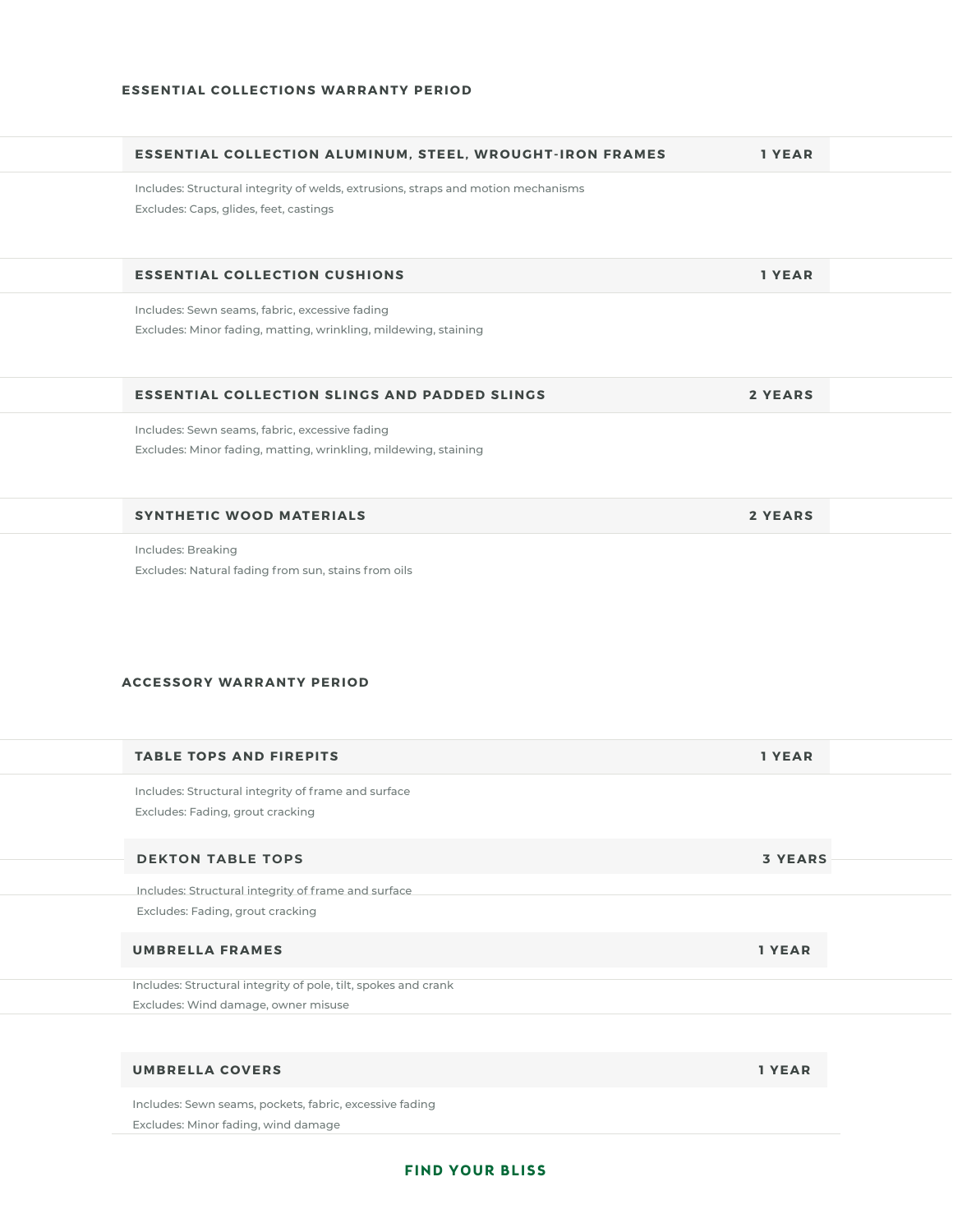| <b>ESSENTIAL COLLECTION ALUMINUM, STEEL, WROUGHT-IRON FRAMES</b>                                                            | 1 YEAR         |  |
|-----------------------------------------------------------------------------------------------------------------------------|----------------|--|
| Includes: Structural integrity of welds, extrusions, straps and motion mechanisms<br>Excludes: Caps, glides, feet, castings |                |  |
| <b>ESSENTIAL COLLECTION CUSHIONS</b>                                                                                        | 1 YEAR         |  |
| Includes: Sewn seams, fabric, excessive fading<br>Excludes: Minor fading, matting, wrinkling, mildewing, staining           |                |  |
| <b>ESSENTIAL COLLECTION SLINGS AND PADDED SLINGS</b>                                                                        | 2 YEARS        |  |
| Includes: Sewn seams, fabric, excessive fading<br>Excludes: Minor fading, matting, wrinkling, mildewing, staining           |                |  |
| <b>SYNTHETIC WOOD MATERIALS</b>                                                                                             | <b>2 YEARS</b> |  |
| Includes: Breaking<br>Excludes: Natural fading from sun, stains from oils<br><b>ACCESSORY WARRANTY PERIOD</b>               |                |  |
| <b>TABLE TOPS AND FIREPITS</b>                                                                                              | 1 YEAR         |  |
| Includes: Structural integrity of frame and surface<br>Excludes: Fading, grout cracking                                     |                |  |
| <b>DEKTON TABLE TOPS</b>                                                                                                    | <b>3 YEARS</b> |  |
| Includes: Structural integrity of frame and surface<br>Excludes: Fading, grout cracking                                     |                |  |
| <b>UMBRELLA FRAMES</b>                                                                                                      | 1 YEAR         |  |
| Includes: Structural integrity of pole, tilt, spokes and crank<br>Excludes: Wind damage, owner misuse                       |                |  |
|                                                                                                                             |                |  |
| <b>UMBRELLA COVERS</b>                                                                                                      | 1 YEAR         |  |
| Includes: Sewn seams, pockets, fabric, excessive fading                                                                     |                |  |

Excludes: Minor fading, wind damage